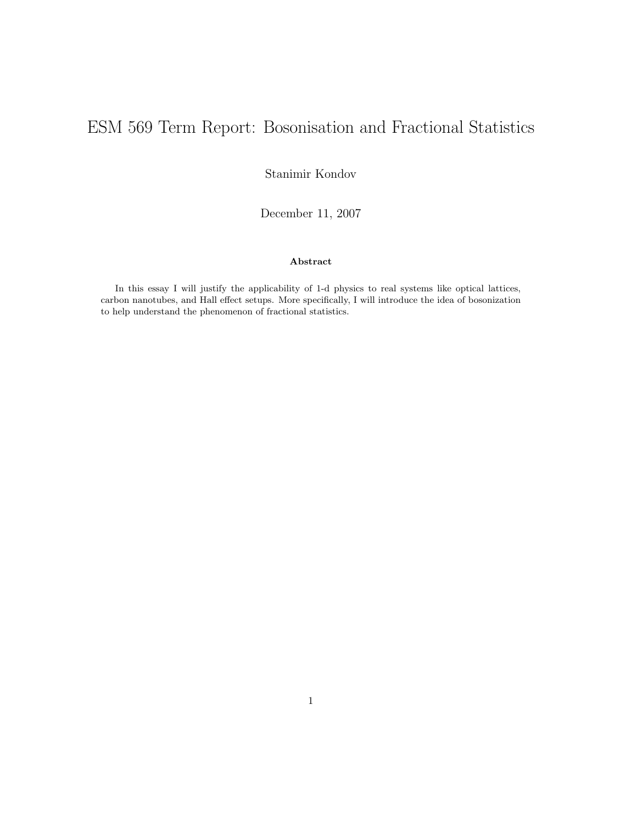# ESM 569 Term Report: Bosonisation and Fractional Statistics

Stanimir Kondov

December 11, 2007

#### Abstract

In this essay I will justify the applicability of 1-d physics to real systems like optical lattices, carbon nanotubes, and Hall effect setups. More specifically, I will introduce the idea of bosonization to help understand the phenomenon of fractional statistics.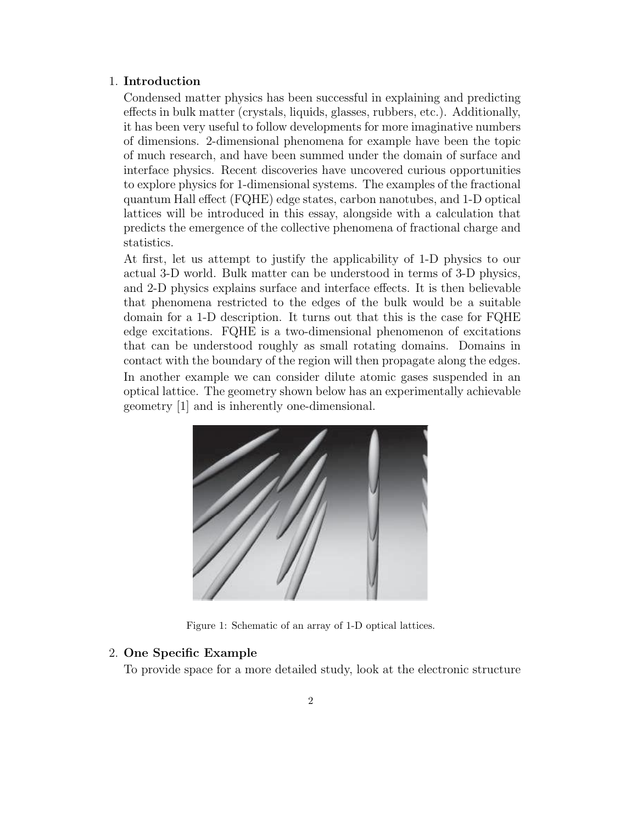#### 1. Introduction

Condensed matter physics has been successful in explaining and predicting effects in bulk matter (crystals, liquids, glasses, rubbers, etc.). Additionally, it has been very useful to follow developments for more imaginative numbers of dimensions. 2-dimensional phenomena for example have been the topic of much research, and have been summed under the domain of surface and interface physics. Recent discoveries have uncovered curious opportunities to explore physics for 1-dimensional systems. The examples of the fractional quantum Hall effect (FQHE) edge states, carbon nanotubes, and 1-D optical lattices will be introduced in this essay, alongside with a calculation that predicts the emergence of the collective phenomena of fractional charge and statistics.

At first, let us attempt to justify the applicability of 1-D physics to our actual 3-D world. Bulk matter can be understood in terms of 3-D physics, and 2-D physics explains surface and interface effects. It is then believable that phenomena restricted to the edges of the bulk would be a suitable domain for a 1-D description. It turns out that this is the case for FQHE edge excitations. FQHE is a two-dimensional phenomenon of excitations that can be understood roughly as small rotating domains. Domains in contact with the boundary of the region will then propagate along the edges. In another example we can consider dilute atomic gases suspended in an optical lattice. The geometry shown below has an experimentally achievable geometry [1] and is inherently one-dimensional.



Figure 1: Schematic of an array of 1-D optical lattices.

## 2. One Specific Example

To provide space for a more detailed study, look at the electronic structure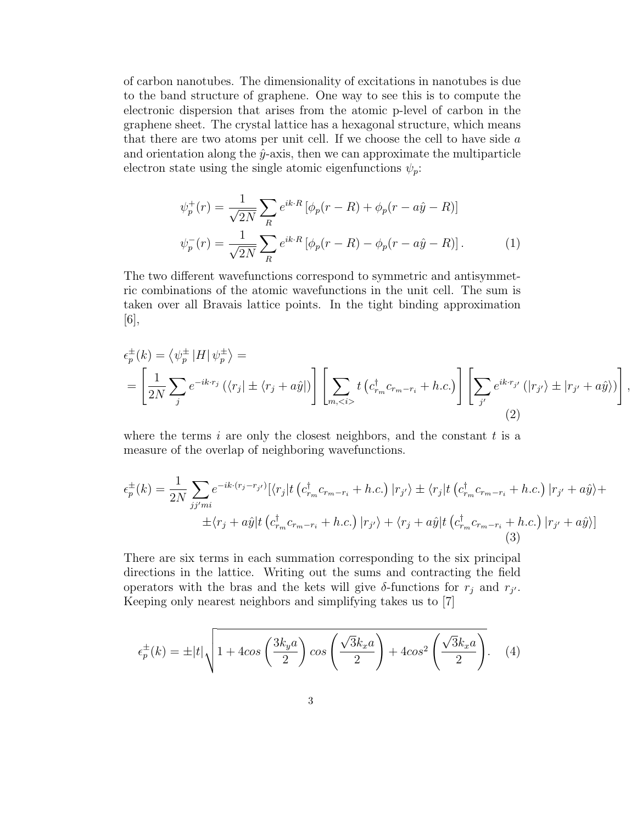of carbon nanotubes. The dimensionality of excitations in nanotubes is due to the band structure of graphene. One way to see this is to compute the electronic dispersion that arises from the atomic p-level of carbon in the graphene sheet. The crystal lattice has a hexagonal structure, which means that there are two atoms per unit cell. If we choose the cell to have side  $a$ and orientation along the  $\hat{y}$ -axis, then we can approximate the multiparticle electron state using the single atomic eigenfunctions  $\psi_p$ :

$$
\psi_p^+(r) = \frac{1}{\sqrt{2N}} \sum_R e^{ik \cdot R} \left[ \phi_p(r - R) + \phi_p(r - a\hat{y} - R) \right]
$$
  

$$
\psi_p^-(r) = \frac{1}{\sqrt{2N}} \sum_R e^{ik \cdot R} \left[ \phi_p(r - R) - \phi_p(r - a\hat{y} - R) \right].
$$
 (1)

The two different wavefunctions correspond to symmetric and antisymmetric combinations of the atomic wavefunctions in the unit cell. The sum is taken over all Bravais lattice points. In the tight binding approximation [6],

$$
\epsilon_p^{\pm}(k) = \left\langle \psi_p^{\pm} | H | \psi_p^{\pm} \right\rangle =
$$
\n
$$
= \left[ \frac{1}{2N} \sum_j e^{-ik \cdot r_j} \left( \langle r_j | \pm \langle r_j + a\hat{y} | \rangle \right) \left[ \sum_{m, < i} t \left( c_{r_m}^{\dagger} c_{r_m - r_i} + h.c. \right) \right] \left[ \sum_{j'} e^{ik \cdot r_{j'}} \left( |r_{j'} \rangle \pm |r_{j'} + a\hat{y} \rangle \right) \right],
$$
\n(2)

where the terms i are only the closest neighbors, and the constant  $t$  is a measure of the overlap of neighboring wavefunctions.

$$
\epsilon_p^{\pm}(k) = \frac{1}{2N} \sum_{jj'mi} e^{-ik \cdot (r_j - r_{j'})} [\langle r_j| t (c_{r_m}^{\dagger} c_{r_{m} - r_i} + h.c.) |r_{j'}\rangle \pm \langle r_j| t (c_{r_m}^{\dagger} c_{r_{m} - r_i} + h.c.) |r_{j'} + a\hat{y}\rangle +
$$
  
 
$$
\pm \langle r_j + a\hat{y}| t (c_{r_m}^{\dagger} c_{r_{m} - r_i} + h.c.) |r_{j'}\rangle + \langle r_j + a\hat{y}| t (c_{r_m}^{\dagger} c_{r_{m} - r_i} + h.c.) |r_{j'} + a\hat{y}\rangle]
$$
(3)

There are six terms in each summation corresponding to the six principal directions in the lattice. Writing out the sums and contracting the field operators with the bras and the kets will give  $\delta$ -functions for  $r_j$  and  $r_{j'}$ . Keeping only nearest neighbors and simplifying takes us to [7]

$$
\epsilon_p^{\pm}(k) = \pm |t| \sqrt{1 + 4\cos\left(\frac{3k_y a}{2}\right)\cos\left(\frac{\sqrt{3}k_x a}{2}\right) + 4\cos^2\left(\frac{\sqrt{3}k_x a}{2}\right)}.
$$
 (4)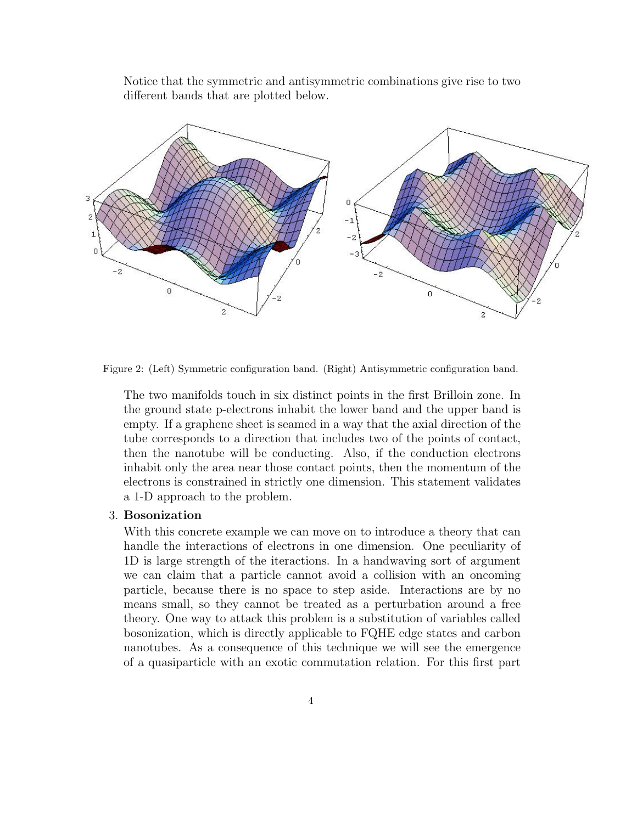Notice that the symmetric and antisymmetric combinations give rise to two different bands that are plotted below.



Figure 2: (Left) Symmetric configuration band. (Right) Antisymmetric configuration band.

The two manifolds touch in six distinct points in the first Brilloin zone. In the ground state p-electrons inhabit the lower band and the upper band is empty. If a graphene sheet is seamed in a way that the axial direction of the tube corresponds to a direction that includes two of the points of contact, then the nanotube will be conducting. Also, if the conduction electrons inhabit only the area near those contact points, then the momentum of the electrons is constrained in strictly one dimension. This statement validates a 1-D approach to the problem.

## 3. Bosonization

With this concrete example we can move on to introduce a theory that can handle the interactions of electrons in one dimension. One peculiarity of 1D is large strength of the iteractions. In a handwaving sort of argument we can claim that a particle cannot avoid a collision with an oncoming particle, because there is no space to step aside. Interactions are by no means small, so they cannot be treated as a perturbation around a free theory. One way to attack this problem is a substitution of variables called bosonization, which is directly applicable to FQHE edge states and carbon nanotubes. As a consequence of this technique we will see the emergence of a quasiparticle with an exotic commutation relation. For this first part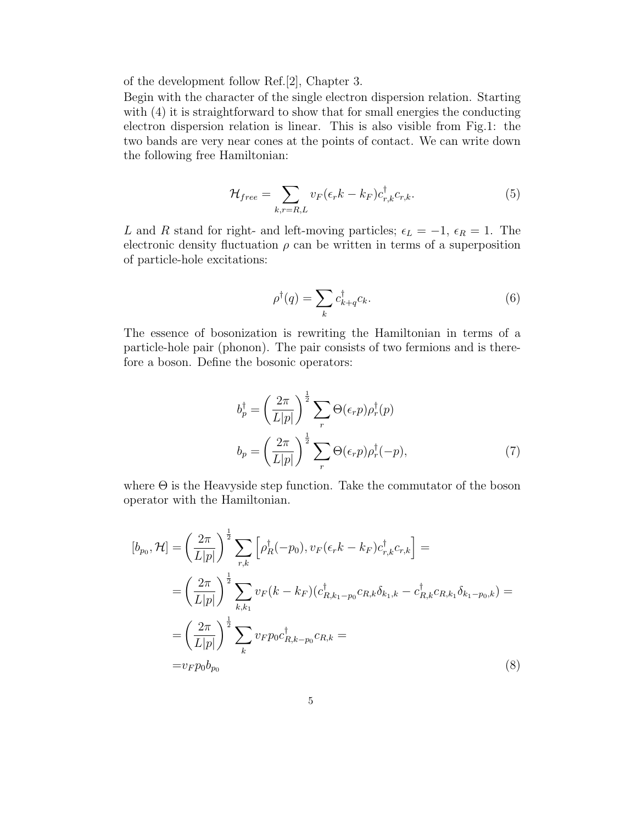of the development follow Ref.[2], Chapter 3.

Begin with the character of the single electron dispersion relation. Starting with (4) it is straightforward to show that for small energies the conducting electron dispersion relation is linear. This is also visible from Fig.1: the two bands are very near cones at the points of contact. We can write down the following free Hamiltonian:

$$
\mathcal{H}_{free} = \sum_{k,r=R,L} v_F(\epsilon_r k - k_F) c_{r,k}^{\dagger} c_{r,k}.
$$
\n(5)

L and R stand for right- and left-moving particles;  $\epsilon_L = -1$ ,  $\epsilon_R = 1$ . The electronic density fluctuation  $\rho$  can be written in terms of a superposition of particle-hole excitations:

$$
\rho^{\dagger}(q) = \sum_{k} c^{\dagger}_{k+q} c_k. \tag{6}
$$

The essence of bosonization is rewriting the Hamiltonian in terms of a particle-hole pair (phonon). The pair consists of two fermions and is therefore a boson. Define the bosonic operators:

$$
b_p^{\dagger} = \left(\frac{2\pi}{L|p|}\right)^{\frac{1}{2}} \sum_r \Theta(\epsilon_r p) \rho_r^{\dagger}(p)
$$

$$
b_p = \left(\frac{2\pi}{L|p|}\right)^{\frac{1}{2}} \sum_r \Theta(\epsilon_r p) \rho_r^{\dagger}(-p), \tag{7}
$$

where  $\Theta$  is the Heavyside step function. Take the commutator of the boson operator with the Hamiltonian.

$$
[b_{p_0}, \mathcal{H}] = \left(\frac{2\pi}{L|p|}\right)^{\frac{1}{2}} \sum_{r,k} \left[\rho_R^{\dagger}(-p_0), v_F(\epsilon_r k - k_F) c_{r,k}^{\dagger} c_{r,k}\right] =
$$
  
\n
$$
= \left(\frac{2\pi}{L|p|}\right)^{\frac{1}{2}} \sum_{k,k_1} v_F(k - k_F) (c_{R,k_1-p_0}^{\dagger} c_{R,k} \delta_{k_1,k} - c_{R,k}^{\dagger} c_{R,k_1} \delta_{k_1-p_0,k}) =
$$
  
\n
$$
= \left(\frac{2\pi}{L|p|}\right)^{\frac{1}{2}} \sum_{k} v_F p_0 c_{R,k-p_0}^{\dagger} c_{R,k} =
$$
  
\n
$$
= v_F p_0 b_{p_0}
$$
 (8)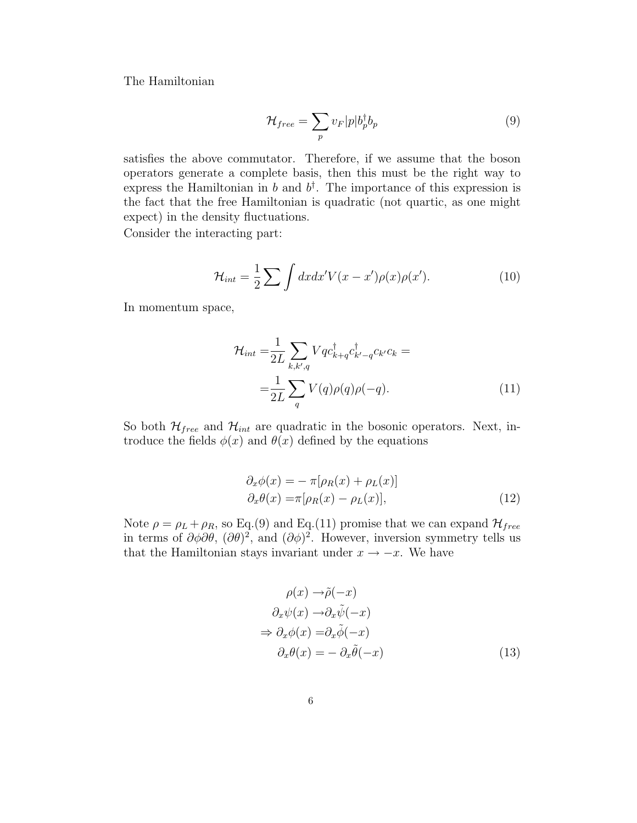The Hamiltonian

$$
\mathcal{H}_{free} = \sum_{p} v_F |p| b_p^{\dagger} b_p \tag{9}
$$

satisfies the above commutator. Therefore, if we assume that the boson operators generate a complete basis, then this must be the right way to express the Hamiltonian in b and  $b^{\dagger}$ . The importance of this expression is the fact that the free Hamiltonian is quadratic (not quartic, as one might expect) in the density fluctuations.

Consider the interacting part:

$$
\mathcal{H}_{int} = \frac{1}{2} \sum \int dx dx' V(x - x') \rho(x) \rho(x'). \qquad (10)
$$

In momentum space,

$$
\mathcal{H}_{int} = \frac{1}{2L} \sum_{k,k',q} Vq c_{k+q}^{\dagger} c_{k'-q}^{\dagger} c_{k'} c_k =
$$
\n
$$
= \frac{1}{2L} \sum_{q} V(q) \rho(q) \rho(-q). \tag{11}
$$

So both  $\mathcal{H}_{free}$  and  $\mathcal{H}_{int}$  are quadratic in the bosonic operators. Next, introduce the fields  $\phi(x)$  and  $\theta(x)$  defined by the equations

$$
\partial_x \phi(x) = - \pi [\rho_R(x) + \rho_L(x)]
$$
  
\n
$$
\partial_x \theta(x) = \pi [\rho_R(x) - \rho_L(x)],
$$
\n(12)

Note  $\rho = \rho_L + \rho_R$ , so Eq.(9) and Eq.(11) promise that we can expand  $\mathcal{H}_{free}$ in terms of  $\partial \phi \partial \theta$ ,  $(\partial \theta)^2$ , and  $(\partial \phi)^2$ . However, inversion symmetry tells us that the Hamiltonian stays invariant under  $x \to -x$ . We have

$$
\rho(x) \to \tilde{\rho}(-x)
$$
  
\n
$$
\partial_x \psi(x) \to \partial_x \tilde{\psi}(-x)
$$
  
\n
$$
\Rightarrow \partial_x \phi(x) = \partial_x \tilde{\phi}(-x)
$$
  
\n
$$
\partial_x \theta(x) = - \partial_x \tilde{\theta}(-x)
$$
\n(13)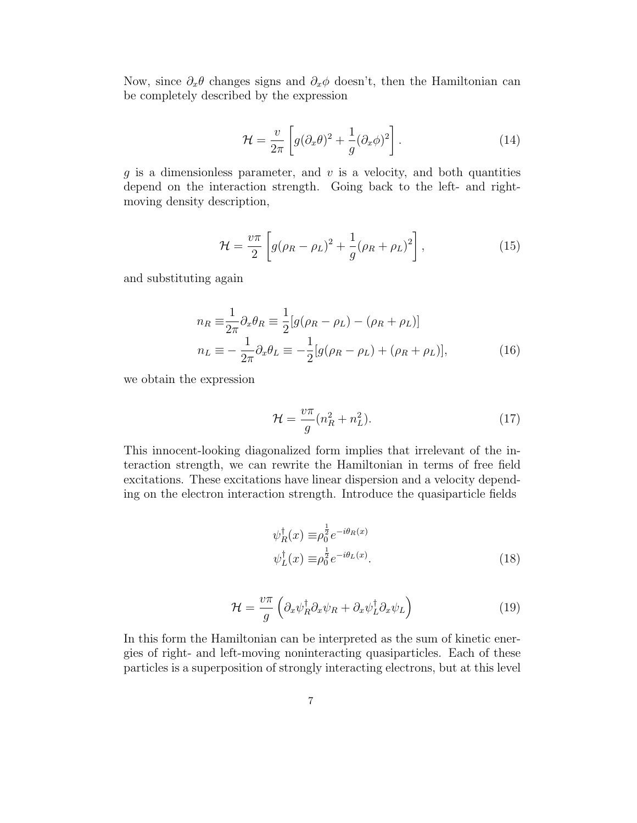Now, since  $\partial_x \theta$  changes signs and  $\partial_x \phi$  doesn't, then the Hamiltonian can be completely described by the expression

$$
\mathcal{H} = \frac{v}{2\pi} \left[ g(\partial_x \theta)^2 + \frac{1}{g} (\partial_x \phi)^2 \right].
$$
 (14)

q is a dimensionless parameter, and  $v$  is a velocity, and both quantities depend on the interaction strength. Going back to the left- and rightmoving density description,

$$
\mathcal{H} = \frac{v\pi}{2} \left[ g(\rho_R - \rho_L)^2 + \frac{1}{g} (\rho_R + \rho_L)^2 \right],\tag{15}
$$

and substituting again

$$
n_R \equiv \frac{1}{2\pi} \partial_x \theta_R \equiv \frac{1}{2} [g(\rho_R - \rho_L) - (\rho_R + \rho_L)]
$$
  
\n
$$
n_L \equiv -\frac{1}{2\pi} \partial_x \theta_L \equiv -\frac{1}{2} [g(\rho_R - \rho_L) + (\rho_R + \rho_L)],
$$
\n(16)

we obtain the expression

$$
\mathcal{H} = \frac{v\pi}{g}(n_R^2 + n_L^2). \tag{17}
$$

This innocent-looking diagonalized form implies that irrelevant of the interaction strength, we can rewrite the Hamiltonian in terms of free field excitations. These excitations have linear dispersion and a velocity depending on the electron interaction strength. Introduce the quasiparticle fields

$$
\psi_R^{\dagger}(x) \equiv \rho_0^{\frac{1}{2}} e^{-i\theta_R(x)} \n\psi_L^{\dagger}(x) \equiv \rho_0^{\frac{1}{2}} e^{-i\theta_L(x)}.
$$
\n(18)

$$
\mathcal{H} = \frac{v\pi}{g} \left( \partial_x \psi_R^\dagger \partial_x \psi_R + \partial_x \psi_L^\dagger \partial_x \psi_L \right) \tag{19}
$$

In this form the Hamiltonian can be interpreted as the sum of kinetic energies of right- and left-moving noninteracting quasiparticles. Each of these particles is a superposition of strongly interacting electrons, but at this level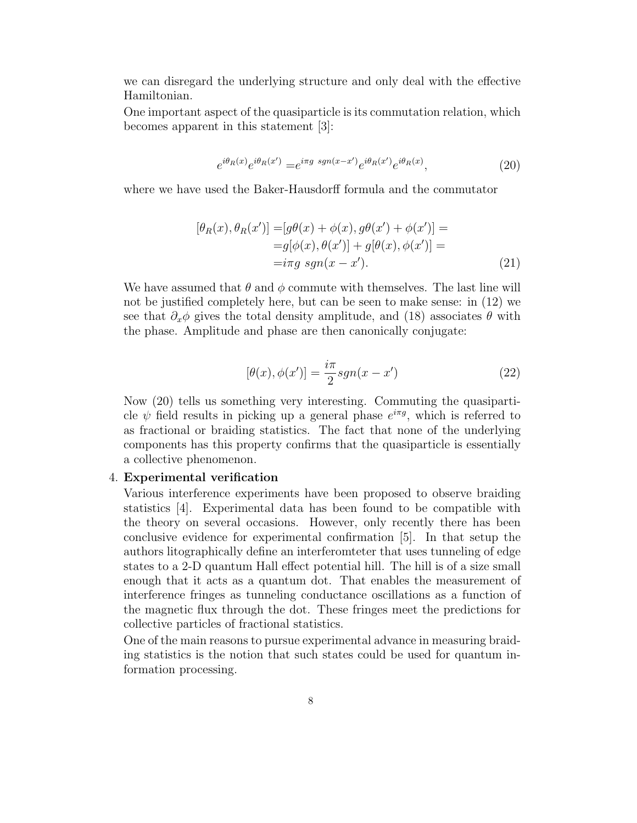we can disregard the underlying structure and only deal with the effective Hamiltonian.

One important aspect of the quasiparticle is its commutation relation, which becomes apparent in this statement [3]:

$$
e^{i\theta_R(x)}e^{i\theta_R(x')} = e^{i\pi g \; sgn(x-x')}e^{i\theta_R(x')}e^{i\theta_R(x)},\tag{20}
$$

where we have used the Baker-Hausdorff formula and the commutator

$$
[\theta_R(x), \theta_R(x')] = [g\theta(x) + \phi(x), g\theta(x') + \phi(x')] =
$$
  
=  $g[\phi(x), \theta(x')] + g[\theta(x), \phi(x')] =$   
=  $i\pi g \operatorname{sgn}(x - x').$  (21)

We have assumed that  $\theta$  and  $\phi$  commute with themselves. The last line will not be justified completely here, but can be seen to make sense: in (12) we see that  $\partial_x \phi$  gives the total density amplitude, and (18) associates  $\theta$  with the phase. Amplitude and phase are then canonically conjugate:

$$
[\theta(x), \phi(x')] = \frac{i\pi}{2} sgn(x - x')
$$
 (22)

Now (20) tells us something very interesting. Commuting the quasiparticle  $\psi$  field results in picking up a general phase  $e^{i\pi g}$ , which is referred to as fractional or braiding statistics. The fact that none of the underlying components has this property confirms that the quasiparticle is essentially a collective phenomenon.

#### 4. Experimental verification

Various interference experiments have been proposed to observe braiding statistics [4]. Experimental data has been found to be compatible with the theory on several occasions. However, only recently there has been conclusive evidence for experimental confirmation [5]. In that setup the authors litographically define an interferomteter that uses tunneling of edge states to a 2-D quantum Hall effect potential hill. The hill is of a size small enough that it acts as a quantum dot. That enables the measurement of interference fringes as tunneling conductance oscillations as a function of the magnetic flux through the dot. These fringes meet the predictions for collective particles of fractional statistics.

One of the main reasons to pursue experimental advance in measuring braiding statistics is the notion that such states could be used for quantum information processing.